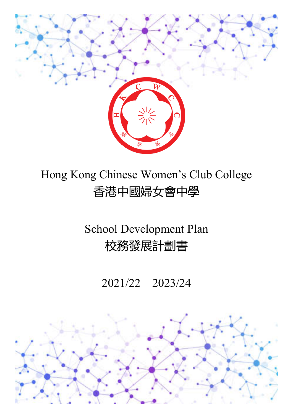

# Hong Kong Chinese Women's Club College 香港中國婦女會中學

# School Development Plan 校務發展計劃書

2021/22 – 2023/24

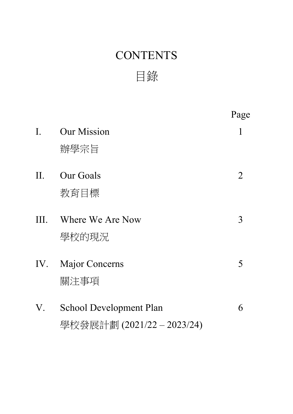# **CONTENTS**

目錄

Page I. Our Mission 1 辦學宗旨 II. Our Goals 2 教育目標 III. Where We Are Now 3 學校的現況 IV. Major Concerns 5 關注事項 V. School Development Plan 6 學校發展計劃 (2021/22 – 2023/24)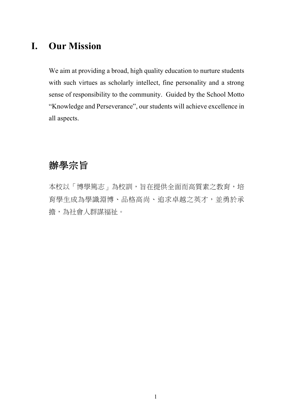### **I. Our Mission**

We aim at providing a broad, high quality education to nurture students with such virtues as scholarly intellect, fine personality and a strong sense of responsibility to the community. Guided by the School Motto "Knowledge and Perseverance", our students will achieve excellence in all aspects.

### 辦學宗旨

本校以「博學篤志」為校訓,旨在提供全面而高質素之教育,培 育學生成為學識淵博、品格高尚、追求卓越之英才,並勇於承 擔,為社會人群謀福祉。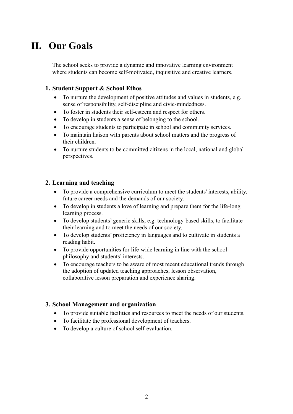## **II. Our Goals**

The school seeks to provide a dynamic and innovative learning environment where students can become self-motivated, inquisitive and creative learners.

#### **1. Student Support & School Ethos**

- To nurture the development of positive attitudes and values in students, e.g. sense of responsibility, self-discipline and civic-mindedness.
- To foster in students their self-esteem and respect for others.
- To develop in students a sense of belonging to the school.
- To encourage students to participate in school and community services.
- To maintain liaison with parents about school matters and the progress of their children.
- To nurture students to be committed citizens in the local, national and global perspectives.

#### **2. Learning and teaching**

- To provide a comprehensive curriculum to meet the students' interests, ability, future career needs and the demands of our society.
- To develop in students a love of learning and prepare them for the life-long learning process.
- To develop students' generic skills, e.g. technology-based skills, to facilitate their learning and to meet the needs of our society.
- To develop students' proficiency in languages and to cultivate in students a reading habit.
- To provide opportunities for life-wide learning in line with the school philosophy and students' interests.
- To encourage teachers to be aware of most recent educational trends through the adoption of updated teaching approaches, lesson observation, collaborative lesson preparation and experience sharing.

#### **3. School Management and organization**

- To provide suitable facilities and resources to meet the needs of our students.
- To facilitate the professional development of teachers.
- To develop a culture of school self-evaluation.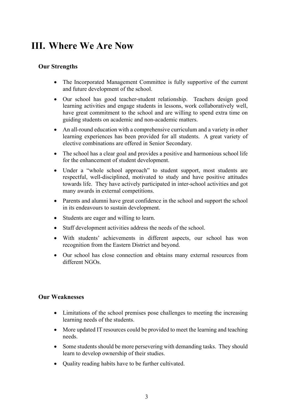## **III. Where We Are Now**

#### **Our Strengths**

- The Incorporated Management Committee is fully supportive of the current and future development of the school.
- Our school has good teacher-student relationship. Teachers design good learning activities and engage students in lessons, work collaboratively well, have great commitment to the school and are willing to spend extra time on guiding students on academic and non-academic matters.
- An all-round education with a comprehensive curriculum and a variety in other learning experiences has been provided for all students. A great variety of elective combinations are offered in Senior Secondary.
- The school has a clear goal and provides a positive and harmonious school life for the enhancement of student development.
- Under a "whole school approach" to student support, most students are respectful, well-disciplined, motivated to study and have positive attitudes towards life. They have actively participated in inter-school activities and got many awards in external competitions.
- Parents and alumni have great confidence in the school and support the school in its endeavours to sustain development.
- Students are eager and willing to learn.
- Staff development activities address the needs of the school.
- With students' achievements in different aspects, our school has won recognition from the Eastern District and beyond.
- Our school has close connection and obtains many external resources from different NGOs.

#### **Our Weaknesses**

- Limitations of the school premises pose challenges to meeting the increasing learning needs of the students.
- More updated IT resources could be provided to meet the learning and teaching needs.
- Some students should be more persevering with demanding tasks. They should learn to develop ownership of their studies.
- Quality reading habits have to be further cultivated.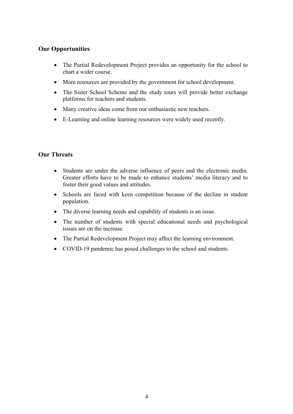#### **Our Opportunities**

- The Partial Redevelopment Project provides an opportunity for the school to chart a wider course.
- More resources are provided by the government for school development.
- The Sister School Scheme and the study tours will provide better exchange platforms for teachers and students.
- Many creative ideas come from our enthusiastic new teachers.
- E-Learning and online learning resources were widely used recently.

#### **Our Threats**

- Students are under the adverse influence of peers and the electronic media. Greater efforts have to be made to enhance students' media literacy and to foster their good values and attitudes.
- Schools are faced with keen competition because of the decline in student population.
- The diverse learning needs and capability of students is an issue.
- The number of students with special educational needs and psychological issues are on the increase.
- The Partial Redevelopment Project may affect the learning environment.
- COVID-19 pandemic has posed challenges to the school and students.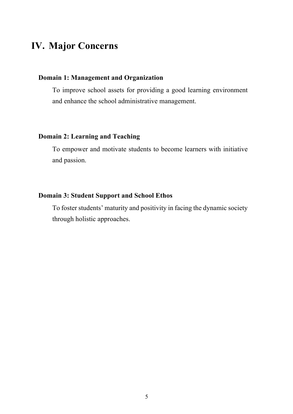### **IV. Major Concerns**

#### **Domain 1: Management and Organization**

To improve school assets for providing a good learning environment and enhance the school administrative management.

#### **Domain 2: Learning and Teaching**

To empower and motivate students to become learners with initiative and passion.

#### **Domain 3: Student Support and School Ethos**

To foster students' maturity and positivity in facing the dynamic society through holistic approaches.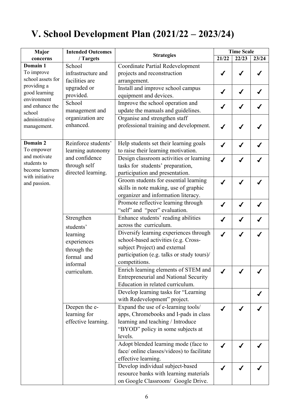## **V. School Development Plan (2021/22 – 2023/24)**

| Major                                                                                                                   | <b>Intended Outcomes</b><br>/ Targets | <b>Strategies</b>                            | <b>Time Scale</b> |       |       |
|-------------------------------------------------------------------------------------------------------------------------|---------------------------------------|----------------------------------------------|-------------------|-------|-------|
| concerns                                                                                                                |                                       |                                              | 21/22             | 22/23 | 23/24 |
| Domain 1<br>To improve<br>school assets for<br>providing a<br>good learning<br>environment<br>and enhance the<br>school | School                                | <b>Coordinate Partial Redevelopment</b>      |                   |       |       |
|                                                                                                                         | infrastructure and                    | projects and reconstruction                  |                   |       |       |
|                                                                                                                         | facilities are                        | arrangement.                                 |                   |       |       |
|                                                                                                                         | upgraded or                           | Install and improve school campus            |                   |       |       |
|                                                                                                                         | provided.                             | equipment and devices.                       |                   |       |       |
|                                                                                                                         | School                                | Improve the school operation and             |                   |       |       |
|                                                                                                                         | management and                        | update the manuals and guidelines.           |                   |       |       |
| administrative                                                                                                          | organization are                      | Organise and strengthen staff                |                   |       |       |
| management.                                                                                                             | enhanced.                             | professional training and development.       |                   |       |       |
|                                                                                                                         |                                       |                                              |                   |       |       |
| Domain 2                                                                                                                | Reinforce students'                   |                                              |                   |       |       |
| To empower                                                                                                              |                                       | Help students set their learning goals       |                   |       |       |
| and motivate                                                                                                            | learning autonomy                     | to raise their learning motivation.          |                   |       |       |
| students to                                                                                                             | and confidence                        | Design classroom activities or learning      |                   |       |       |
| become learners                                                                                                         | through self                          | tasks for students' preparation,             |                   |       |       |
| with initiative                                                                                                         | directed learning.                    | participation and presentation.              |                   |       |       |
| and passion.                                                                                                            |                                       | Groom students for essential learning        |                   |       |       |
|                                                                                                                         |                                       | skills in note making, use of graphic        |                   |       |       |
|                                                                                                                         |                                       | organizer and information literacy.          |                   |       |       |
|                                                                                                                         |                                       | Promote reflective learning through          |                   |       |       |
|                                                                                                                         |                                       | "self" and "peer" evaluation.                |                   |       |       |
|                                                                                                                         | Strengthen                            | Enhance students' reading abilities          |                   |       |       |
|                                                                                                                         | students'                             | across the curriculum.                       |                   |       |       |
|                                                                                                                         | learning                              | Diversify learning experiences through       |                   |       |       |
|                                                                                                                         | experiences                           | school-based activities (e.g. Cross-         |                   |       |       |
|                                                                                                                         | through the                           | subject Project) and external                |                   |       |       |
|                                                                                                                         | formal and                            | participation (e.g. talks or study tours)/   |                   |       |       |
|                                                                                                                         | informal                              | competitions.                                |                   |       |       |
|                                                                                                                         | curriculum.                           | Enrich learning elements of STEM and         |                   |       |       |
|                                                                                                                         |                                       | <b>Entrepreneurial and National Security</b> |                   |       |       |
|                                                                                                                         |                                       | Education in related curriculum.             |                   |       |       |
|                                                                                                                         |                                       | Develop learning tasks for "Learning         |                   |       |       |
|                                                                                                                         |                                       | with Redevelopment" project.                 |                   |       |       |
|                                                                                                                         | Deepen the e-                         | Expand the use of e-learning tools/          |                   |       |       |
|                                                                                                                         | learning for                          | apps, Chromebooks and I-pads in class        |                   |       |       |
|                                                                                                                         | effective learning.                   | learning and teaching / Introduce            |                   |       |       |
|                                                                                                                         |                                       | "BYOD" policy in some subjects at            |                   |       |       |
|                                                                                                                         |                                       | levels.                                      |                   |       |       |
|                                                                                                                         |                                       |                                              |                   |       |       |
|                                                                                                                         |                                       | Adopt blended learning mode (face to         |                   |       |       |
|                                                                                                                         |                                       | face/ online classes/videos) to facilitate   |                   |       |       |
|                                                                                                                         |                                       | effective learning.                          |                   |       |       |
|                                                                                                                         |                                       | Develop individual subject-based             |                   |       |       |
|                                                                                                                         |                                       | resource banks with learning materials       |                   |       |       |
|                                                                                                                         |                                       | on Google Classroom/ Google Drive.           |                   |       |       |